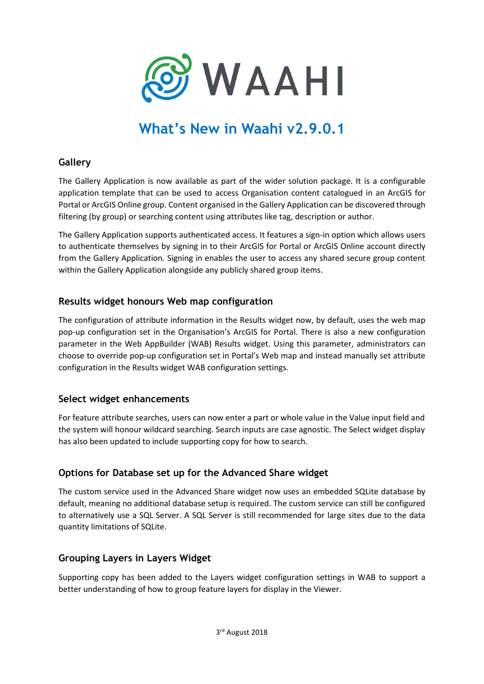

# **What's New in Waahi v2.9.0.1**

## **Gallery**

The Gallery Application is now available as part of the wider solution package. It is a configurable application template that can be used to access Organisation content catalogued in an ArcGIS for Portal or ArcGIS Online group. Content organised in the Gallery Application can be discovered through filtering (by group) or searching content using attributes like tag, description or author.

The Gallery Application supports authenticated access. It features a sign-in option which allows users to authenticate themselves by signing in to their ArcGIS for Portal or ArcGIS Online account directly from the Gallery Application. Signing in enables the user to access any shared secure group content within the Gallery Application alongside any publicly shared group items.

## **Results widget honours Web map configuration**

The configuration of attribute information in the Results widget now, by default, uses the web map pop-up configuration set in the Organisation's ArcGIS for Portal. There is also a new configuration parameter in the Web AppBuilder (WAB) Results widget. Using this parameter, administrators can choose to override pop-up configuration set in Portal's Web map and instead manually set attribute configuration in the Results widget WAB configuration settings.

## **Select widget enhancements**

For feature attribute searches, users can now enter a part or whole value in the Value input field and the system will honour wildcard searching. Search inputs are case agnostic. The Select widget display has also been updated to include supporting copy for how to search.

## **Options for Database set up for the Advanced Share widget**

The custom service used in the Advanced Share widget now uses an embedded SQLite database by default, meaning no additional database setup is required. The custom service can still be configured to alternatively use a SQL Server. A SQL Server is still recommended for large sites due to the data quantity limitations of SQLite.

## **Grouping Layers in Layers Widget**

Supporting copy has been added to the Layers widget configuration settings in WAB to support a better understanding of how to group feature layers for display in the Viewer.